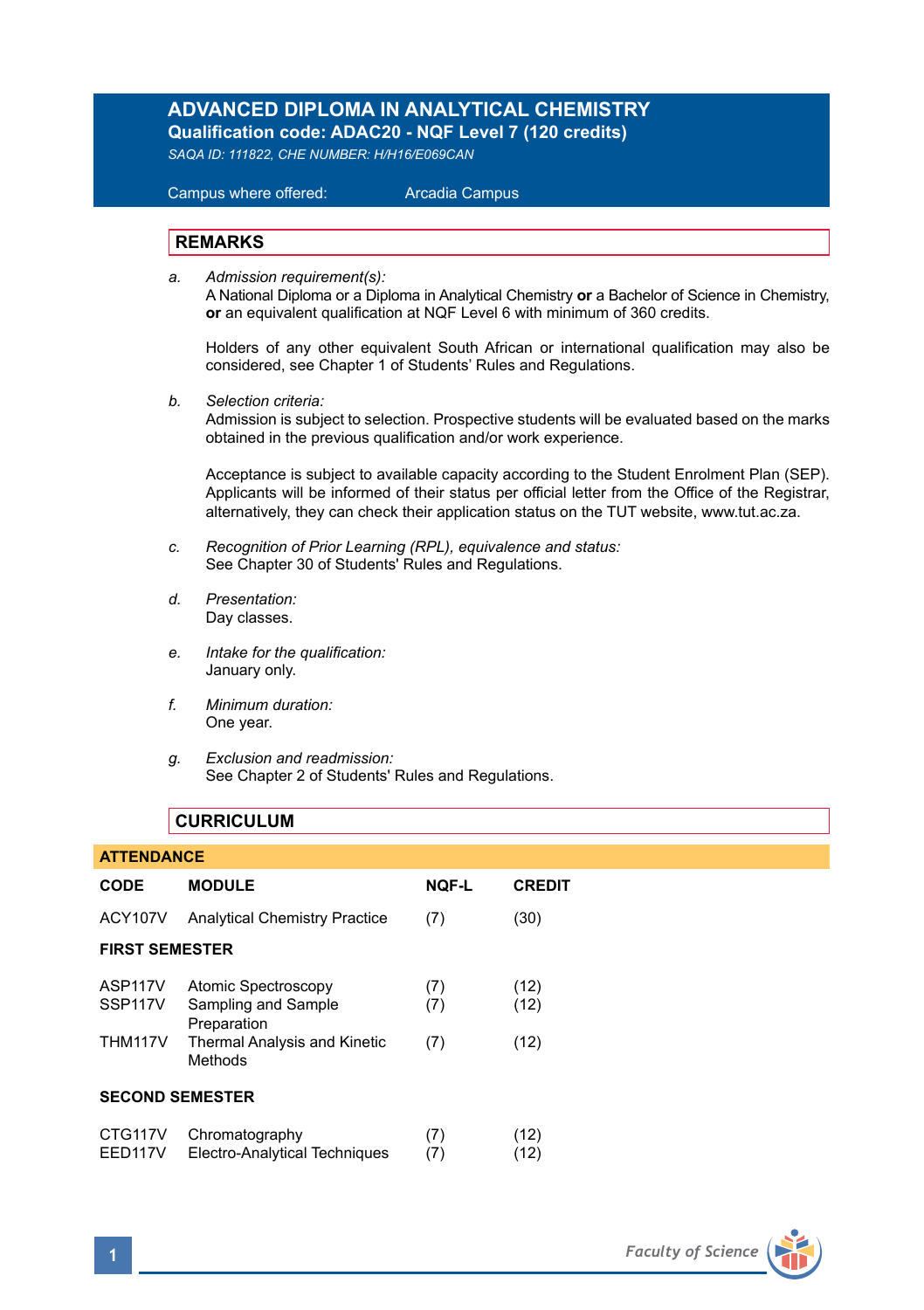# **ADVANCED DIPLOMA IN ANALYTICAL CHEMISTRY**

**Qualification code: ADAC20 - NQF Level 7 (120 credits)** 

*SAQA ID: 111822, CHE NUMBER: H/H16/E069CAN* 

# Campus where offered: Arcadia Campus

## **REMARKS**

*a. Admission requirement(s):* 

A National Diploma or a Diploma in Analytical Chemistry **or** a Bachelor of Science in Chemistry, **or** an equivalent qualification at NQF Level 6 with minimum of 360 credits.

Holders of any other equivalent South African or international qualification may also be considered, see Chapter 1 of Students' Rules and Regulations.

*b. Selection criteria:*

Admission is subject to selection. Prospective students will be evaluated based on the marks obtained in the previous qualification and/or work experience.

Acceptance is subject to available capacity according to the Student Enrolment Plan (SEP). Applicants will be informed of their status per official letter from the Office of the Registrar, alternatively, they can check their application status on the TUT website, www.tut.ac.za.

- *c. Recognition of Prior Learning (RPL), equivalence and status:* See Chapter 30 of Students' Rules and Regulations.
- *d. Presentation:* Day classes.
- *e. Intake for the qualification:* January only.
- *f. Minimum duration:* One year.
- *g. Exclusion and readmission:* See Chapter 2 of Students' Rules and Regulations.

## **CURRICULUM**

#### **ATTENDANCE**

| <b>CODE</b>                                                  | <b>MODULE</b>                                                                                                      | <b>NOF-L</b>      | <b>CREDIT</b>        |
|--------------------------------------------------------------|--------------------------------------------------------------------------------------------------------------------|-------------------|----------------------|
| <b>ACY107V</b>                                               | <b>Analytical Chemistry Practice</b>                                                                               | (7)               | (30)                 |
| <b>FIRST SEMESTER</b>                                        |                                                                                                                    |                   |                      |
| ASP <sub>117V</sub><br>SSP <sub>117V</sub><br><b>THM117V</b> | <b>Atomic Spectroscopy</b><br>Sampling and Sample<br>Preparation<br><b>Thermal Analysis and Kinetic</b><br>Methods | (7)<br>(7)<br>(7) | (12)<br>(12)<br>(12) |
| <b>SECOND SEMESTER</b>                                       |                                                                                                                    |                   |                      |
| CTG117V<br>EED117V                                           | Chromatography<br>Electro-Analytical Techniques                                                                    | (7)<br>(7)        | (12)<br>(12)         |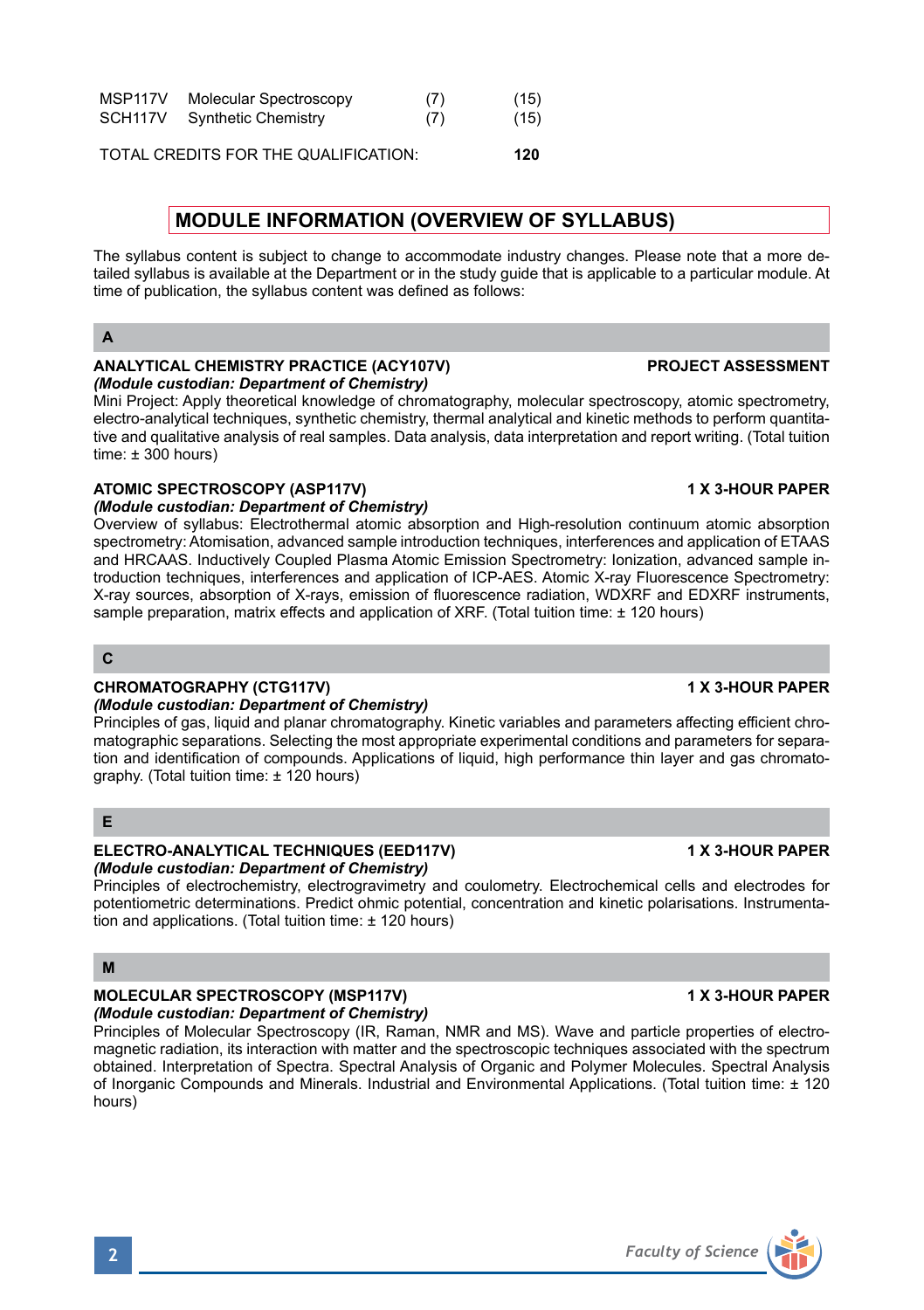# MSP117V Molecular Spectroscopy (7) (15) SCH117V Synthetic Chemistry (7) (15)

TOTAL CREDITS FOR THE QUALIFICATION: **120**

## **MODULE INFORMATION (OVERVIEW OF SYLLABUS)**

The syllabus content is subject to change to accommodate industry changes. Please note that a more detailed syllabus is available at the Department or in the study guide that is applicable to a particular module. At time of publication, the syllabus content was defined as follows:

## **A**

#### **ANALYTICAL CHEMISTRY PRACTICE (ACY107V) PROJECT ASSESSMENT**  *(Module custodian: Department of Chemistry)*

Mini Project: Apply theoretical knowledge of chromatography, molecular spectroscopy, atomic spectrometry, electro-analytical techniques, synthetic chemistry, thermal analytical and kinetic methods to perform quantitative and qualitative analysis of real samples. Data analysis, data interpretation and report writing. (Total tuition time:  $\pm 300$  hours)

## ATOMIC SPECTROSCOPY (ASP117V) **1 X 3-HOUR PAPER**

## *(Module custodian: Department of Chemistry)*

Overview of syllabus: Electrothermal atomic absorption and High-resolution continuum atomic absorption spectrometry: Atomisation, advanced sample introduction techniques, interferences and application of ETAAS and HRCAAS. Inductively Coupled Plasma Atomic Emission Spectrometry: Ionization, advanced sample introduction techniques, interferences and application of ICP-AES. Atomic X-ray Fluorescence Spectrometry: X-ray sources, absorption of X-rays, emission of fluorescence radiation, WDXRF and EDXRF instruments, sample preparation, matrix effects and application of XRF. (Total tuition time: ± 120 hours)

### **C**

## **CHROMATOGRAPHY (CTG117V)** 1 X 3-HOUR PAPER

### *(Module custodian: Department of Chemistry)*

Principles of gas, liquid and planar chromatography. Kinetic variables and parameters affecting efficient chromatographic separations. Selecting the most appropriate experimental conditions and parameters for separation and identification of compounds. Applications of liquid, high performance thin layer and gas chromatography. (Total tuition time: ± 120 hours)

## **E**

## **ELECTRO-ANALYTICAL TECHNIQUES (EED117V) 1 X 3-HOUR PAPER** *(Module custodian: Department of Chemistry)*

Principles of electrochemistry, electrogravimetry and coulometry. Electrochemical cells and electrodes for potentiometric determinations. Predict ohmic potential, concentration and kinetic polarisations. Instrumentation and applications. (Total tuition time: ± 120 hours)

## **M**

## **MOLECULAR SPECTROSCOPY (MSP117V)** 1 X 3-HOUR PAPER

*(Module custodian: Department of Chemistry)* Principles of Molecular Spectroscopy (IR, Raman, NMR and MS). Wave and particle properties of electromagnetic radiation, its interaction with matter and the spectroscopic techniques associated with the spectrum obtained. Interpretation of Spectra. Spectral Analysis of Organic and Polymer Molecules. Spectral Analysis of Inorganic Compounds and Minerals. Industrial and Environmental Applications. (Total tuition time: ± 120 hours)